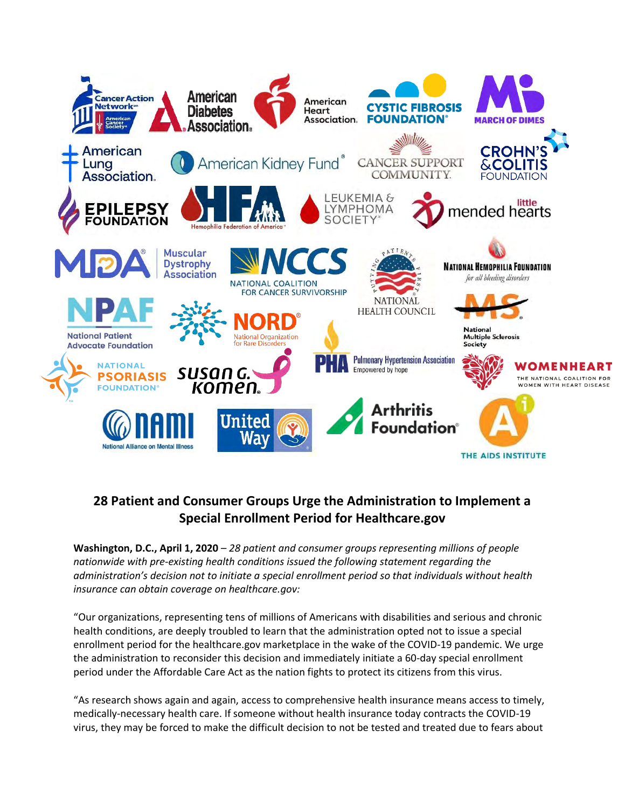

## **28 Patient and Consumer Groups Urge the Administration to Implement a Special Enrollment Period for Healthcare.gov**

**Washington, D.C., April 1, 2020** – *28 patient and consumer groups representing millions of people nationwide with pre-existing health conditions issued the following statement regarding the administration's decision not to initiate a special enrollment period so that individuals without health insurance can obtain coverage on healthcare.gov:* 

"Our organizations, representing tens of millions of Americans with disabilities and serious and chronic health conditions, are deeply troubled to learn that the administration opted not to issue a special enrollment period for the healthcare.gov marketplace in the wake of the COVID-19 pandemic. We urge the administration to reconsider this decision and immediately initiate a 60-day special enrollment period under the Affordable Care Act as the nation fights to protect its citizens from this virus.

"As research shows again and again, access to comprehensive health insurance means access to timely, medically-necessary health care. If someone without health insurance today contracts the COVID-19 virus, they may be forced to make the difficult decision to not be tested and treated due to fears about